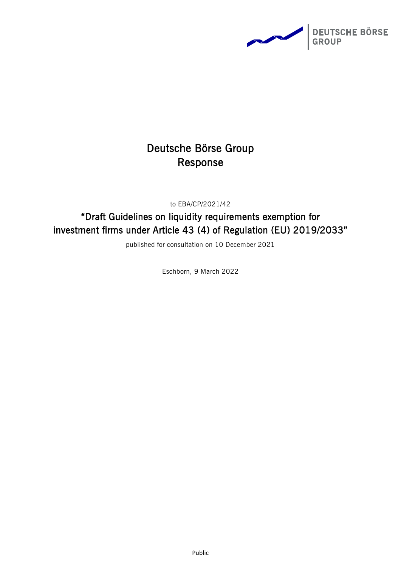

# Deutsche Börse Group Response

to EBA/CP/2021/42

"Draft Guidelines on liquidity requirements exemption for investment firms under Article 43 (4) of Regulation (EU) 2019/2033"

published for consultation on 10 December 2021

Eschborn, 9 March 2022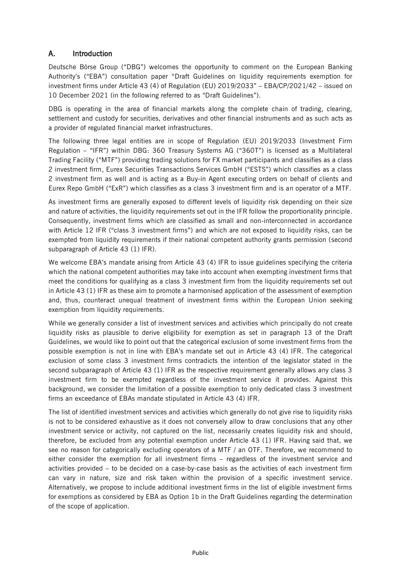## A. Introduction

Deutsche Börse Group ("DBG") welcomes the opportunity to comment on the European Banking Authority's ("EBA") consultation paper "Draft Guidelines on liquidity requirements exemption for investment firms under Article 43 (4) of Regulation (EU) 2019/2033" – EBA/CP/2021/42 – issued on 10 December 2021 (in the following referred to as "Draft Guidelines").

DBG is operating in the area of financial markets along the complete chain of trading, clearing, settlement and custody for securities, derivatives and other financial instruments and as such acts as a provider of regulated financial market infrastructures.

The following three legal entities are in scope of Regulation (EU) 2019/2033 (Investment Firm Regulation – "IFR") within DBG: 360 Treasury Systems AG ("360T") is licensed as a Multilateral Trading Facility ("MTF") providing trading solutions for FX market participants and classifies as a class 2 investment firm, Eurex Securities Transactions Services GmbH ("ESTS") which classifies as a class 2 investment firm as well and is acting as a Buy-in Agent executing orders on behalf of clients and Eurex Repo GmbH ("ExR") which classifies as a class 3 investment firm and is an operator of a MTF.

As investment firms are generally exposed to different levels of liquidity risk depending on their size and nature of activities, the liquidity requirements set out in the IFR follow the proportionality principle. Consequently, investment firms which are classified as small and non-interconnected in accordance with Article 12 IFR ("class 3 investment firms") and which are not exposed to liquidity risks, can be exempted from liquidity requirements if their national competent authority grants permission (second subparagraph of Article 43 (1) IFR).

We welcome EBA's mandate arising from Article 43 (4) IFR to issue guidelines specifying the criteria which the national competent authorities may take into account when exempting investment firms that meet the conditions for qualifying as a class 3 investment firm from the liquidity requirements set out in Article 43 (1) IFR as these aim to promote a harmonised application of the assessment of exemption and, thus, counteract unequal treatment of investment firms within the European Union seeking exemption from liquidity requirements.

While we generally consider a list of investment services and activities which principally do not create liquidity risks as plausible to derive eligibility for exemption as set in paragraph 13 of the Draft Guidelines, we would like to point out that the categorical exclusion of some investment firms from the possible exemption is not in line with EBA's mandate set out in Article 43 (4) IFR. The categorical exclusion of some class 3 investment firms contradicts the intention of the legislator stated in the second subparagraph of Article 43 (1) IFR as the respective requirement generally allows any class 3 investment firm to be exempted regardless of the investment service it provides. Against this background, we consider the limitation of a possible exemption to only dedicated class 3 investment firms an exceedance of EBAs mandate stipulated in Article 43 (4) IFR.

The list of identified investment services and activities which generally do not give rise to liquidity risks is not to be considered exhaustive as it does not conversely allow to draw conclusions that any other investment service or activity, not captured on the list, necessarily creates liquidity risk and should, therefore, be excluded from any potential exemption under Article 43 (1) IFR. Having said that, we see no reason for categorically excluding operators of a MTF / an OTF. Therefore, we recommend to either consider the exemption for all investment firms – regardless of the investment service and activities provided – to be decided on a case-by-case basis as the activities of each investment firm can vary in nature, size and risk taken within the provision of a specific investment service. Alternatively, we propose to include additional investment firms in the list of eligible investment firms for exemptions as considered by EBA as Option 1b in the Draft Guidelines regarding the determination of the scope of application.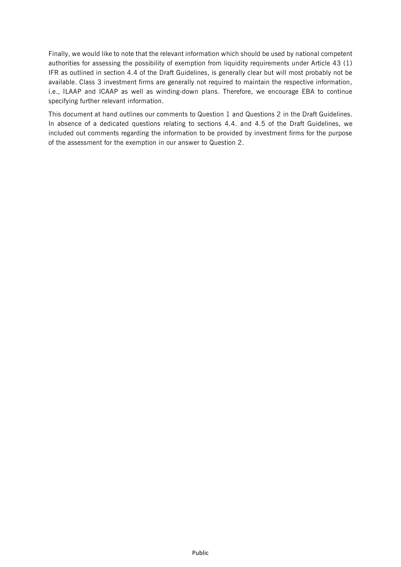Finally, we would like to note that the relevant information which should be used by national competent authorities for assessing the possibility of exemption from liquidity requirements under Article 43 (1) IFR as outlined in section 4.4 of the Draft Guidelines, is generally clear but will most probably not be available. Class 3 investment firms are generally not required to maintain the respective information, i.e., ILAAP and ICAAP as well as winding-down plans. Therefore, we encourage EBA to continue specifying further relevant information.

This document at hand outlines our comments to Question 1 and Questions 2 in the Draft Guidelines. In absence of a dedicated questions relating to sections 4.4. and 4.5 of the Draft Guidelines, we included out comments regarding the information to be provided by investment firms for the purpose of the assessment for the exemption in our answer to Question 2.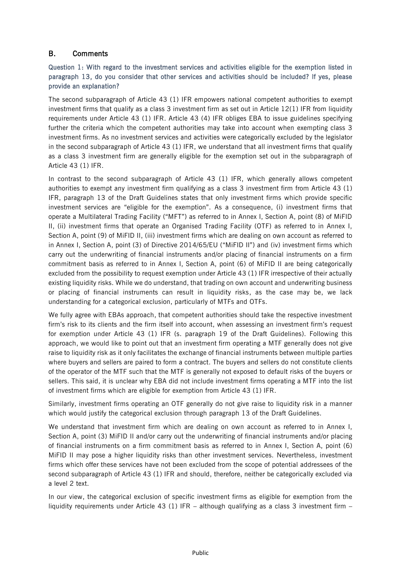### B. Comments

#### Question 1: With regard to the investment services and activities eligible for the exemption listed in paragraph 13, do you consider that other services and activities should be included? If yes, please provide an explanation?

The second subparagraph of Article 43 (1) IFR empowers national competent authorities to exempt investment firms that qualify as a class 3 investment firm as set out in Article 12(1) IFR from liquidity requirements under Article 43 (1) IFR. Article 43 (4) IFR obliges EBA to issue guidelines specifying further the criteria which the competent authorities may take into account when exempting class 3 investment firms. As no investment services and activities were categorically excluded by the legislator in the second subparagraph of Article 43 (1) IFR, we understand that all investment firms that qualify as a class 3 investment firm are generally eligible for the exemption set out in the subparagraph of Article 43 (1) IFR.

In contrast to the second subparagraph of Article 43 (1) IFR, which generally allows competent authorities to exempt any investment firm qualifying as a class 3 investment firm from Article 43 (1) IFR, paragraph 13 of the Draft Guidelines states that only investment firms which provide specific investment services are "eligible for the exemption". As a consequence, (i) investment firms that operate a Multilateral Trading Facility ("MFT") as referred to in Annex I, Section A, point (8) of MiFID II, (ii) investment firms that operate an Organised Trading Facility (OTF) as referred to in Annex I, Section A, point (9) of MiFID II, (iii) investment firms which are dealing on own account as referred to in Annex I, Section A, point (3) of Directive 2014/65/EU ("MiFID II") and (iv) investment firms which carry out the underwriting of financial instruments and/or placing of financial instruments on a firm commitment basis as referred to in Annex I, Section A, point (6) of MiFID II are being categorically excluded from the possibility to request exemption under Article 43 (1) IFR irrespective of their actually existing liquidity risks. While we do understand, that trading on own account and underwriting business or placing of financial instruments can result in liquidity risks, as the case may be, we lack understanding for a categorical exclusion, particularly of MTFs and OTFs.

We fully agree with EBAs approach, that competent authorities should take the respective investment firm's risk to its clients and the firm itself into account, when assessing an investment firm's request for exemption under Article 43 (1) IFR (s. paragraph 19 of the Draft Guidelines). Following this approach, we would like to point out that an investment firm operating a MTF generally does not give raise to liquidity risk as it only facilitates the exchange of financial instruments between multiple parties where buyers and sellers are paired to form a contract. The buyers and sellers do not constitute clients of the operator of the MTF such that the MTF is generally not exposed to default risks of the buyers or sellers. This said, it is unclear why EBA did not include investment firms operating a MTF into the list of investment firms which are eligible for exemption from Article 43 (1) IFR.

Similarly, investment firms operating an OTF generally do not give raise to liquidity risk in a manner which would justify the categorical exclusion through paragraph 13 of the Draft Guidelines.

We understand that investment firm which are dealing on own account as referred to in Annex I, Section A, point (3) MiFID II and/or carry out the underwriting of financial instruments and/or placing of financial instruments on a firm commitment basis as referred to in Annex I, Section A, point (6) MiFID II may pose a higher liquidity risks than other investment services. Nevertheless, investment firms which offer these services have not been excluded from the scope of potential addressees of the second subparagraph of Article 43 (1) IFR and should, therefore, neither be categorically excluded via a level 2 text.

In our view, the categorical exclusion of specific investment firms as eligible for exemption from the liquidity requirements under Article 43 (1) IFR – although qualifying as a class 3 investment firm –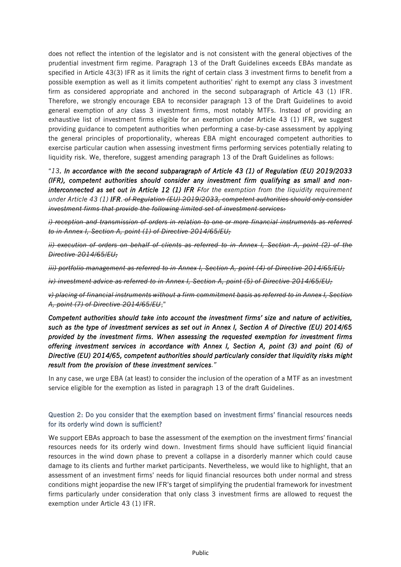does not reflect the intention of the legislator and is not consistent with the general objectives of the prudential investment firm regime. Paragraph 13 of the Draft Guidelines exceeds EBAs mandate as specified in Article 43(3) IFR as it limits the right of certain class 3 investment firms to benefit from a possible exemption as well as it limits competent authorities' right to exempt any class 3 investment firm as considered appropriate and anchored in the second subparagraph of Article 43 (1) IFR. Therefore, we strongly encourage EBA to reconsider paragraph 13 of the Draft Guidelines to avoid general exemption of *any* class 3 investment firms, most notably MTFs. Instead of providing an exhaustive list of investment firms eligible for an exemption under Article 43 (1) IFR, we suggest providing guidance to competent authorities when performing a case-by-case assessment by applying the general principles of proportionality, whereas EBA might encouraged competent authorities to exercise particular caution when assessing investment firms performing services potentially relating to liquidity risk. We, therefore, suggest amending paragraph 13 of the Draft Guidelines as follows:

"*13. In accordance with the second subparagraph of Article 43 (1) of Regulation (EU) 2019/2033 (IFR), competent authorities should consider any investment firm qualifying as small and noninterconnected as set out in Article 12 (1) IFR Ffor the exemption from the liquidity requirement under Article 43 (1) IFR. of Regulation (EU) 2019/2033, competent authorities should only consider investment firms that provide the following limited set of investment services:*

*i) reception and transmission of orders in relation to one or more financial instruments as referred to in Annex I, Section A, point (1) of Directive 2014/65/EU;* 

*ii) execution of orders on behalf of clients as referred to in Annex I, Section A, point (2) of the Directive 2014/65/EU;* 

*iii) portfolio management as referred to in Annex I, Section A, point (4) of Directive 2014/65/EU;* 

*iv) investment advice as referred to in Annex I, Section A, point (5) of Directive 2014/65/EU;* 

*v) placing of financial instruments without a firm commitment basis as referred to in Annex I, Section A, point (7) of Directive 2014/65/EU*;"

*Competent authorities should take into account the investment firms' size and nature of activities, such as the type of investment services as set out in Annex I, Section A of Directive (EU) 2014/65 provided by the investment firms. When assessing the requested exemption for investment firms offering investment services in accordance with Annex I, Section A, point (3) and point (6) of Directive (EU) 2014/65, competent authorities should particularly consider that liquidity risks might result from the provision of these investment services."*

In any case, we urge EBA (at least) to consider the inclusion of the operation of a MTF as an investment service eligible for the exemption as listed in paragraph 13 of the draft Guidelines.

#### Question 2: Do you consider that the exemption based on investment firms' financial resources needs for its orderly wind down is sufficient?

We support EBAs approach to base the assessment of the exemption on the investment firms' financial resources needs for its orderly wind down. Investment firms should have sufficient liquid financial resources in the wind down phase to prevent a collapse in a disorderly manner which could cause damage to its clients and further market participants. Nevertheless, we would like to highlight, that an assessment of an investment firms' needs for liquid financial resources both under normal and stress conditions might jeopardise the new IFR's target of simplifying the prudential framework for investment firms particularly under consideration that only class 3 investment firms are allowed to request the exemption under Article 43 (1) IFR.